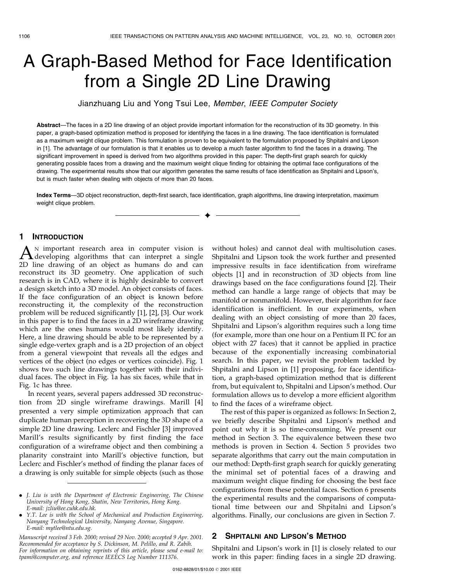# A Graph-Based Method for Face Identification from a Single 2D Line Drawing

Jianzhuang Liu and Yong Tsui Lee, Member, IEEE Computer Society

Abstract—The faces in a 2D line drawing of an object provide important information for the reconstruction of its 3D geometry. In this paper, a graph-based optimization method is proposed for identifying the faces in a line drawing. The face identification is formulated as a maximum weight clique problem. This formulation is proven to be equivalent to the formulation proposed by Shpitalni and Lipson in [1]. The advantage of our formulation is that it enables us to develop a much faster algorithm to find the faces in a drawing. The significant improvement in speed is derived from two algorithms provided in this paper: The depth-first graph search for quickly generating possible faces from a drawing and the maximum weight clique finding for obtaining the optimal face configurations of the drawing. The experimental results show that our algorithm generates the same results of face identification as Shpitalni and Lipson's, but is much faster when dealing with objects of more than 20 faces.

Index Terms-3D object reconstruction, depth-first search, face identification, graph algorithms, line drawing interpretation, maximum weight clique problem.

æ

## 1 INTRODUCTION

A<sup>N</sup> important research area in computer vision is<br>developing algorithms that can interpret a single<br>2D line drawing of an object as humans do and can 2D line drawing of an object as humans do and can reconstruct its 3D geometry. One application of such research is in CAD, where it is highly desirable to convert a design sketch into a 3D model. An object consists of faces. If the face configuration of an object is known before reconstructing it, the complexity of the reconstruction problem will be reduced significantly [1], [2], [3]. Our work in this paper is to find the faces in a 2D wireframe drawing which are the ones humans would most likely identify. Here, a line drawing should be able to be represented by a single edge-vertex graph and is a 2D projection of an object from a general viewpoint that reveals all the edges and vertices of the object (no edges or vertices coincide). Fig. 1 shows two such line drawings together with their individual faces. The object in Fig. 1a has six faces, while that in Fig. 1c has three.

In recent years, several papers addressed 3D reconstruction from 2D single wireframe drawings. Marill [4] presented a very simple optimization approach that can duplicate human perception in recovering the 3D shape of a simple 2D line drawing. Leclerc and Fischler [3] improved Marill's results significantly by first finding the face configuration of a wireframe object and then combining a planarity constraint into Marill's objective function, but Leclerc and Fischler's method of finding the planar faces of a drawing is only suitable for simple objects (such as those

Manuscript received 3 Feb. 2000; revised 29 Nov. 2000; accepted 9 Apr. 2001. Recommended for acceptance by S. Dickinson, M. Pelillo, and R. Zabih. For information on obtaining reprints of this article, please send e-mail to: tpami@computer.org, and reference IEEECS Log Number 111376.

without holes) and cannot deal with multisolution cases. Shpitalni and Lipson took the work further and presented impressive results in face identification from wireframe objects [1] and in reconstruction of 3D objects from line drawings based on the face configurations found [2]. Their method can handle a large range of objects that may be manifold or nonmanifold. However, their algorithm for face identification is inefficient. In our experiments, when dealing with an object consisting of more than 20 faces, Shpitalni and Lipson's algorithm requires such a long time (for example, more than one hour on a Pentium II PC for an object with 27 faces) that it cannot be applied in practice because of the exponentially increasing combinatorial search. In this paper, we revisit the problem tackled by Shpitalni and Lipson in [1] proposing, for face identification, a graph-based optimization method that is different from, but equivalent to, Shpitalni and Lipson's method. Our formulation allows us to develop a more efficient algorithm to find the faces of a wireframe object.

The rest of this paper is organized as follows: In Section 2, we briefly describe Shpitalni and Lipson's method and point out why it is so time-consuming. We present our method in Section 3. The equivalence between these two methods is proven in Section 4. Section 5 provides two separate algorithms that carry out the main computation in our method: Depth-first graph search for quickly generating the minimal set of potential faces of a drawing and maximum weight clique finding for choosing the best face configurations from these potential faces. Section 6 presents the experimental results and the comparisons of computational time between our and Shpitalni and Lipson's algorithms. Finally, our conclusions are given in Section 7.

## 2 SHPITALNI AND LIPSON's METHOD

Shpitalni and Lipson's work in [1] is closely related to our work in this paper: finding faces in a single 2D drawing.

<sup>.</sup> J. Liu is with the Department of Electronic Engineering, The Chinese University of Hong Kong, Shatin, New Territories, Hong Kong. E-mail: jzliu@ee.cuhk.edu.hk.

<sup>.</sup> Y.T. Lee is with the School of Mechanical and Production Engineering, Nanyang Technological University, Nanyang Avenue, Singapore. E-mail: mytlee@ntu.edu.sg.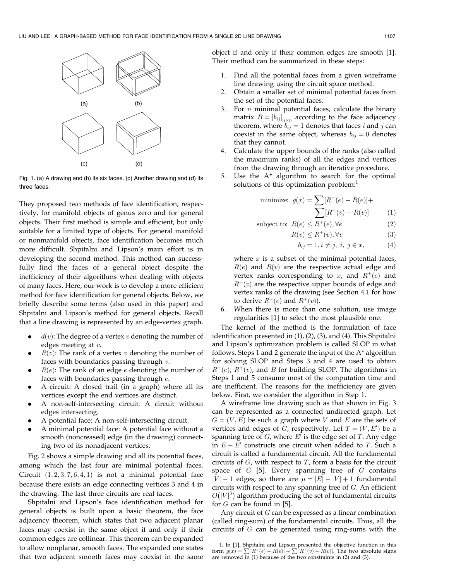

Fig. 1. (a) A drawing and (b) its six faces. (c) Another drawing and (d) its three faces.

They proposed two methods of face identification, respectively, for manifold objects of genus zero and for general objects. Their first method is simple and efficient, but only suitable for a limited type of objects. For general manifold or nonmanifold objects, face identification becomes much more difficult. Shpitalni and Lipson's main effort is in developing the second method. This method can successfully find the faces of a general object despite the inefficiency of their algorithms when dealing with objects of many faces. Here, our work is to develop a more efficient method for face identification for general objects. Below, we briefly describe some terms (also used in this paper) and Shpitalni and Lipson's method for general objects. Recall that a line drawing is represented by an edge-vertex graph.

- $d(v)$ : The degree of a vertex v denoting the number of edges meeting at v.
- $R(v)$ : The rank of a vertex v denoting the number of faces with boundaries passing through  $v$ .
- $R(e)$ : The rank of an edge e denoting the number of faces with boundaries passing through e.
- . A circuit: A closed trail (in a graph) where all its vertices except the end vertices are distinct.
- . A non-self-intersecting circuit: A circuit without edges intersecting.
- . A potential face: A non-self-intersecting circuit.
- . A minimal potential face: A potential face without a smooth (noncreased) edge (in the drawing) connecting two of its nonadjacent vertices.

Fig. 2 shows a simple drawing and all its potential faces, among which the last four are minimal potential faces. Circuit  $(1, 2, 3, 7, 6, 4, 1)$  is not a minimal potential face because there exists an edge connecting vertices 3 and 4 in the drawing. The last three circuits are real faces.

Shpitalni and Lipson's face identification method for general objects is built upon a basic theorem, the face adjacency theorem, which states that two adjacent planar faces may coexist in the same object if and only if their common edges are collinear. This theorem can be expanded to allow nonplanar, smooth faces. The expanded one states that two adjacent smooth faces may coexist in the same

object if and only if their common edges are smooth [1]. Their method can be summarized in these steps:

- 1. Find all the potential faces from a given wireframe line drawing using the circuit space method.
- 2. Obtain a smaller set of minimal potential faces from the set of the potential faces.
- 3. For  $n$  minimal potential faces, calculate the binary matrix  $B=[b_{ij}]_{n\times n}$  according to the face adjacency theorem, where  $b_{ij} = 1$  denotes that faces *i* and *j* can coexist in the same object, whereas  $b_{ij} = 0$  denotes that they cannot.
- 4. Calculate the upper bounds of the ranks (also called the maximum ranks) of all the edges and vertices from the drawing through an iterative procedure.
- 5. Use the A\* algorithm to search for the optimal solutions of this optimization problem:<sup>1</sup>

minimize: 
$$
g(x) = \sum [R^+(e) - R(e)] +
$$
  

$$
\sum [R^+(v) - R(v)] \tag{1}
$$

subject to: 
$$
R(e) \le R^+(e), \forall e
$$
 (2)

$$
R(v) \le R^+(v), \forall v \tag{3}
$$

$$
b_{ij} = 1, i \neq j, i, j \in x,
$$
 (4)

where  $x$  is a subset of the minimal potential faces,  $R(e)$  and  $R(v)$  are the respective actual edge and vertex ranks corresponding to  $x$ , and  $R^+(e)$  and  $R^+(v)$  are the respective upper bounds of edge and vertex ranks of the drawing (see Section 4.1 for how to derive  $R^+(e)$  and  $R^+(v)$ ).

6. When there is more than one solution, use image regularities [1] to select the most plausible one.

The kernel of the method is the formulation of face identification presented in (1), (2), (3), and (4). This Shpitalni and Lipson's optimization problem is called SLOP in what follows. Steps 1 and 2 generate the input of the A\* algorithm for solving SLOP and Steps 3 and 4 are used to obtain  $R^+(e)$ ,  $R^+(v)$ , and B for building SLOP. The algorithms in Steps 1 and 5 consume most of the computation time and are inefficient. The reasons for the inefficiency are given below. First, we consider the algorithm in Step 1.

A wireframe line drawing such as that shown in Fig. 3 can be represented as a connected undirected graph. Let  $G = (V, E)$  be such a graph where V and E are the sets of vertices and edges of  $G$ , respectively. Let  $T = (V, E')$  be a spanning tree of  $G$ , where  $E'$  is the edge set of  $T$ . Any edge in  $E - E'$  constructs one circuit when added to T. Such a circuit is called a fundamental circuit. All the fundamental circuits of  $G$ , with respect to  $T$ , form a basis for the circuit space of  $G$  [5]. Every spanning tree of  $G$  contains  $|V| - 1$  edges, so there are  $\mu = |E| - |V| + 1$  fundamental circuits with respect to any spanning tree of  $G$ . An efficient  $O(|V|^3)$  algorithm producing the set of fundamental circuits for  $G$  can be found in [5].

Any circuit of  $G$  can be expressed as a linear combination (called ring-sum) of the fundamental circuits. Thus, all the circuits of  $G$  can be generated using ring-sums with the

<sup>1.</sup> In [1], Shpitalni and Lipson presented the objective function in this form  $g(x) = \sum [R^+(e) - R(e)] + \sum [R^+(v) - R(v)]$ . The two absolute signs are removed in  $(1)$  because of the two constraints in  $(2)$  and  $(3)$ .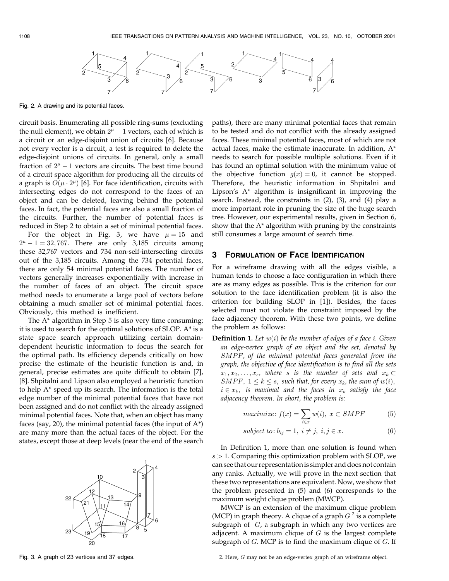

Fig. 2. A drawing and its potential faces.

circuit basis. Enumerating all possible ring-sums (excluding the null element), we obtain  $2<sup>\mu</sup> - 1$  vectors, each of which is a circuit or an edge-disjoint union of circuits [6]. Because not every vector is a circuit, a test is required to delete the edge-disjoint unions of circuits. In general, only a small fraction of  $2^{\mu} - 1$  vectors are circuits. The best time bound of a circuit space algorithm for producing all the circuits of a graph is  $O(\mu \cdot 2^{\mu})$  [6]. For face identification, circuits with intersecting edges do not correspond to the faces of an object and can be deleted, leaving behind the potential faces. In fact, the potential faces are also a small fraction of the circuits. Further, the number of potential faces is reduced in Step 2 to obtain a set of minimal potential faces.

For the object in Fig. 3, we have  $\mu = 15$  and  $2^{\mu} - 1 = 32,767$ . There are only 3,185 circuits among these 32,767 vectors and 734 non-self-intersecting circuits out of the 3,185 circuits. Among the 734 potential faces, there are only 54 minimal potential faces. The number of vectors generally increases exponentially with increase in the number of faces of an object. The circuit space method needs to enumerate a large pool of vectors before obtaining a much smaller set of minimal potential faces. Obviously, this method is inefficient.

The A\* algorithm in Step 5 is also very time consuming; it is used to search for the optimal solutions of SLOP. A\* is a state space search approach utilizing certain domaindependent heuristic information to focus the search for the optimal path. Its efficiency depends critically on how precise the estimate of the heuristic function is and, in general, precise estimates are quite difficult to obtain [7], [8]. Shpitalni and Lipson also employed a heuristic function to help A\* speed up its search. The information is the total edge number of the minimal potential faces that have not been assigned and do not conflict with the already assigned minimal potential faces. Note that, when an object has many faces (say, 20), the minimal potential faces (the input of  $A^*$ ) are many more than the actual faces of the object. For the states, except those at deep levels (near the end of the search



3 FORMULATION OF FACE IDENTIFICATION For a wireframe drawing with all the edges visible, a human tends to choose a face configuration in which there are as many edges as possible. This is the criterion for our solution to the face identification problem (it is also the criterion for building SLOP in [1]). Besides, the faces selected must not violate the constraint imposed by the face adjacency theorem. With these two points, we define the problem as follows:

**Definition 1.** Let  $w(i)$  be the number of edges of a face i. Given an edge-vertex graph of an object and the set, denoted by SMPF, of the minimal potential faces generated from the graph, the objective of face identification is to find all the sets  $x_1, x_2, \ldots, x_s$ , where s is the number of sets and  $x_k \subset$ SMPF,  $1 \le k \le s$ , such that, for every  $x_k$ , the sum of  $w(i)$ ,  $i \in x_k$ , is maximal and the faces in  $x_k$  satisfy the face adjacency theorem. In short, the problem is:

paths), there are many minimal potential faces that remain to be tested and do not conflict with the already assigned faces. These minimal potential faces, most of which are not actual faces, make the estimate inaccurate. In addition, A\* needs to search for possible multiple solutions. Even if it has found an optimal solution with the minimum value of the objective function  $g(x) = 0$ , it cannot be stopped. Therefore, the heuristic information in Shpitalni and Lipson's A\* algorithm is insignificant in improving the search. Instead, the constraints in (2), (3), and (4) play a more important role in pruning the size of the huge search tree. However, our experimental results, given in Section 6, show that the A\* algorithm with pruning by the constraints

still consumes a large amount of search time.

$$
maximize: f(x) = \sum_{i \in x} w(i), \ x \subset SMPF
$$
 (5)

$$
subject to: b_{ij} = 1, i \neq j, i, j \in x.
$$
 (6)

In Definition 1, more than one solution is found when  $s > 1$ . Comparing this optimization problem with SLOP, we can see that our representation is simpler and does not contain any ranks. Actually, we will prove in the next section that these two representations are equivalent. Now, we show that the problem presented in (5) and (6) corresponds to the maximum weight clique problem (MWCP).

MWCP is an extension of the maximum clique problem (MCP) in graph theory. A clique of a graph  $G<sup>2</sup>$  is a complete subgraph of  $G$ , a subgraph in which any two vertices are adjacent. A maximum clique of  $G$  is the largest complete subgraph of  $G$ . MCP is to find the maximum clique of  $G$ . If

2. Here, G may not be an edge-vertex graph of an wireframe object.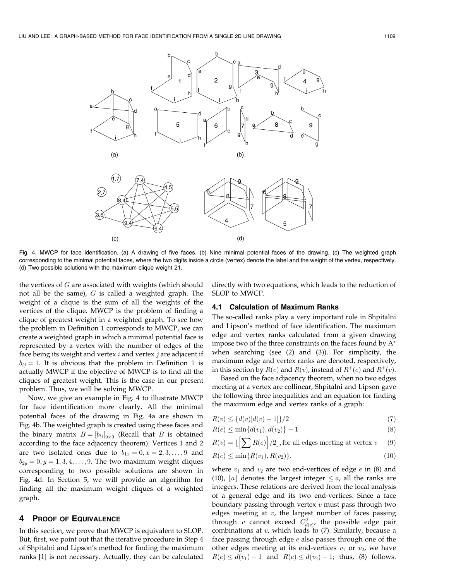

Fig. 4. MWCP for face identification. (a) A drawing of five faces. (b) Nine minimal potential faces of the drawing. (c) The weighted graph corresponding to the minimal potential faces, where the two digits inside a circle (vertex) denote the label and the weight of the vertex, respectively. (d) Two possible solutions with the maximum clique weight 21.

the vertices of  $G$  are associated with weights (which should not all be the same),  $G$  is called a weighted graph. The weight of a clique is the sum of all the weights of the vertices of the clique. MWCP is the problem of finding a clique of greatest weight in a weighted graph. To see how the problem in Definition 1 corresponds to MWCP, we can create a weighted graph in which a minimal potential face is represented by a vertex with the number of edges of the face being its weight and vertex  $i$  and vertex  $j$  are adjacent if  $b_{ij} = 1$ . It is obvious that the problem in Definition 1 is actually MWCP if the objective of MWCP is to find all the cliques of greatest weight. This is the case in our present problem. Thus, we will be solving MWCP.

Now, we give an example in Fig. 4 to illustrate MWCP for face identification more clearly. All the minimal potential faces of the drawing in Fig. 4a are shown in Fig. 4b. The weighted graph is created using these faces and the binary matrix  $B = [b_{ij}]_{9 \times 9}$  (Recall that B is obtained according to the face adjacency theorem). Vertices 1 and 2 are two isolated ones due to  $b_{1x} = 0, x = 2, 3, \ldots, 9$  and  $b_{2y} = 0, y = 1, 3, 4, \ldots, 9$ . The two maximum weight cliques corresponding to two possible solutions are shown in Fig. 4d. In Section 5, we will provide an algorithm for finding all the maximum weight cliques of a weighted graph.

#### 4 PROOF OF EQUIVALENCE

In this section, we prove that MWCP is equivalent to SLOP. But, first, we point out that the iterative procedure in Step 4 of Shpitalni and Lipson's method for finding the maximum ranks [1] is not necessary. Actually, they can be calculated directly with two equations, which leads to the reduction of SLOP to MWCP.

#### 4.1 Calculation of Maximum Ranks

The so-called ranks play a very important role in Shpitalni and Lipson's method of face identification. The maximum edge and vertex ranks calculated from a given drawing impose two of the three constraints on the faces found by A\* when searching (see (2) and (3)). For simplicity, the maximum edge and vertex ranks are denoted, respectively, in this section by  $R(e)$  and  $R(v)$ , instead of  $R^+(e)$  and  $R^+(v)$ .

Based on the face adjacency theorem, when no two edges meeting at a vertex are collinear, Shpitalni and Lipson gave the following three inequalities and an equation for finding the maximum edge and vertex ranks of a graph:

$$
R(v) \le \{d(v)[d(v) - 1]\}/2\tag{7}
$$

$$
R(e) \le \min\{d(v_1), d(v_2)\} - 1\tag{8}
$$

$$
R(v) = \lfloor \left[ \sum R(e) \right] / 2 \rfloor, \text{for all edges meeting at vertex } v \qquad (9)
$$

$$
R(e) \le \min\{R(v_1), R(v_2)\},\tag{10}
$$

where  $v_1$  and  $v_2$  are two end-vertices of edge e in (8) and (10),  $[a]$  denotes the largest integer  $\le a$ , all the ranks are integers. These relations are derived from the local analysis of a general edge and its two end-vertices. Since a face boundary passing through vertex  $v$  must pass through two edges meeting at  $v$ , the largest number of faces passing through  $v$  cannot exceed  $C_{d(v)}^2$ , the possible edge pair combinations at  $v$ , which leads to  $(7)$ . Similarly, because a face passing through edge  $e$  also passes through one of the other edges meeting at its end-vertices  $v_1$  or  $v_2$ , we have  $R(e) \le d(v_1) - 1$  and  $R(e) \le d(v_2) - 1$ ; thus, (8) follows.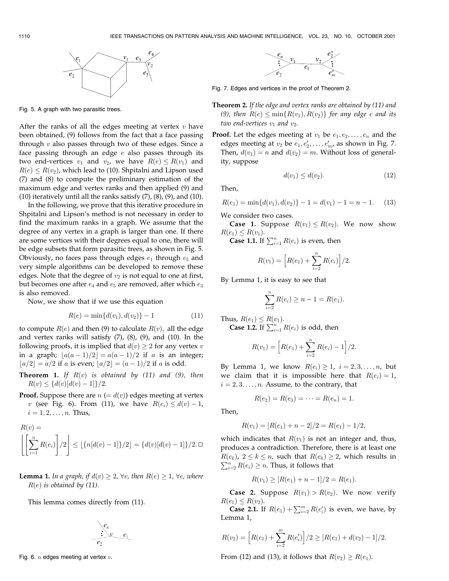

Fig. 5. A graph with two parasitic trees.

After the ranks of all the edges meeting at vertex  $v$  have been obtained, (9) follows from the fact that a face passing through  $v$  also passes through two of these edges. Since a face passing through an edge  $e$  also passes through its two end-vertices  $v_1$  and  $v_2$ , we have  $R(e) \leq R(v_1)$  and  $R(e) \le R(v_2)$ , which lead to (10). Shpitalni and Lipson used (7) and (8) to compute the preliminary estimation of the maximum edge and vertex ranks and then applied (9) and (10) iteratively until all the ranks satisfy  $(7)$ ,  $(8)$ ,  $(9)$ , and  $(10)$ .

In the following, we prove that this iterative procedure in Shpitalni and Lipson's method is not necessary in order to find the maximum ranks in a graph. We assume that the degree of any vertex in a graph is larger than one. If there are some vertices with their degrees equal to one, there will be edge subsets that form parasitic trees, as shown in Fig. 5. Obviously, no faces pass through edges  $e_1$  through  $e_5$  and very simple algorithms can be developed to remove these edges. Note that the degree of  $v_2$  is not equal to one at first, but becomes one after  $e_4$  and  $e_5$  are removed, after which  $e_3$ is also removed.

Now, we show that if we use this equation

$$
R(e) = \min\{d(v_1), d(v_2)\} - 1\tag{11}
$$

to compute  $R(e)$  and then (9) to calculate  $R(v)$ , all the edge and vertex ranks will satisfy  $(7)$ ,  $(8)$ ,  $(9)$ , and  $(10)$ . In the following proofs, it is implied that  $d(v) \geq 2$  for any vertex v in a graph;  $\lfloor a(a-1)/2 \rfloor = a(a-1)/2$  if a is an integer;  $[a/2] = a/2$  if a is even;  $[a/2] = (a-1)/2$  if a is odd.

**Theorem 1.** If  $R(v)$  is obtained by (11) and (9), then  $R(v) \leq \{d(v)[d(v)-1]\}/2.$ 

**Proof.** Suppose there are  $n (= d(v))$  edges meeting at vertex v (see Fig. 6). From (11), we have  $R(e_i) \leq d(v) - 1$ ,  $i = 1, 2, ..., n$ . Thus,

$$
R(v) = \left[ \left[ \sum_{i=1}^{n} R(e_i) \right] / 2 \right] \leq \left[ \{ n[d(v) - 1] \} / 2 \right] = \{ d(v) [d(v) - 1] \} / 2. \Box
$$

**Lemma 1.** In a graph, if  $d(v) \geq 2$ ,  $\forall v$ , then  $R(e) \geq 1$ ,  $\forall e$ , where  $R(e)$  is obtained by (11).

This lemma comes directly from (11).



Fig. 6.  $n$  edges meeting at vertex  $v$ .



Fig. 7. Edges and vertices in the proof of Theorem 2.

- **Theorem 2.** If the edge and vertex ranks are obtained by (11) and (9), then  $R(e) \le \min\{R(v_1), R(v_2)\}$  for any edge e and its two end-vertices  $v_1$  and  $v_2$ .
- **Proof.** Let the edges meeting at  $v_1$  be  $e_1, e_2, \ldots, e_n$  and the edges meeting at  $v_2$  be  $e_1, e'_2, \ldots, e'_m$ , as shown in Fig. 7. Then,  $d(v_1) = n$  and  $d(v_2) = m$ . Without loss of generality, suppose

$$
d(v_1) \le d(v_2). \tag{12}
$$

Then,

 $R(e_1) = \min\{d(v_1), d(v_2)\} - 1 = d(v_1) - 1 = n - 1.$  (13)

We consider two cases.

**Case 1.** Suppose  $R(v_1) \leq R(v_2)$ . We now show  $R(e_1) \le R(v_1)$ .

**Case 1.1.** If  $\sum_{i=1}^{n} R(e_i)$  is even, then

$$
R(v_1) = \left[ R(e_1) + \sum_{i=2}^{n} R(e_i) \right] / 2.
$$

By Lemma 1, it is easy to see that

$$
\sum_{i=2}^{n} R(e_i) \ge n - 1 = R(e_1).
$$

Thus,  $R(e_1) \leq R(v_1)$ . **Case 1.2.** If  $\sum_{i=1}^{n} R(e_i)$  is odd, then

$$
R(v_1) = \left[ R(e_1) + \sum_{i=2}^{n} R(e_i) - 1 \right] / 2.
$$

By Lemma 1, we know  $R(e_i) \geq 1$ ,  $i = 2, 3, \ldots, n$ , but we claim that it is impossible here that  $R(e_i) = 1$ ,  $i = 2, 3, \ldots, n$ . Assume, to the contrary, that

$$
R(e_2) = R(e_3) = \cdots = R(e_n) = 1.
$$

Then,

$$
R(v_1) = [R(e_1) + n - 2]/2 = R(e_1) - 1/2,
$$

which indicates that  $R(v_1)$  is not an integer and, thus, produces a contradiction. Therefore, there is at least one  $R(e_k)$ ,  $2 \le k \le n$ , such that  $R(e_k) \ge 2$ , which results in  $\sum_{i=2}^{n} R(e_i) \geq n$ . Thus, it follows that

$$
R(v_1) \ge [R(e_1) + n - 1]/2 = R(e_1).
$$

**Case 2.** Suppose  $R(v_1) > R(v_2)$ . We now verify  $R(e_1) \le R(v_2)$ .

**Case 2.1.** If  $R(e_1) + \sum_{i=2}^{m} R(e'_i)$  is even, we have, by Lemma 1,

$$
R(v_2) = \left[ R(e_1) + \sum_{i=2}^{m} R(e'_i) \right] / 2 \geq [R(e_1) + d(v_2) - 1] / 2.
$$

From (12) and (13), it follows that  $R(v_2) \ge R(e_1)$ .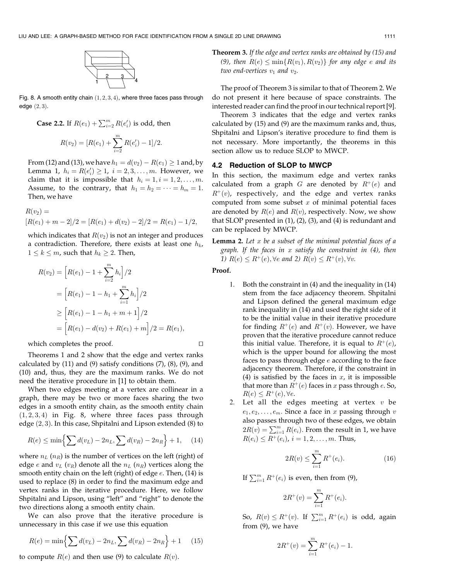

Fig. 8. A smooth entity chain  $(1, 2, 3, 4)$ , where three faces pass through edge  $(2, 3)$ .

Case 2.2. If 
$$
R(e_1) + \sum_{i=2}^{m} R(e'_i)
$$
 is odd, then  

$$
R(v_2) = [R(e_1) + \sum_{i=1}^{m} R(e'_i) - 1]/2.
$$

From (12) and (13), we have  $h_1 = d(v_2) - R(e_1) \geq 1$  and, by Lemma 1,  $h_i = R(e'_i) \ge 1$ ,  $i = 2, 3, ..., m$ . However, we claim that it is impossible that  $h_i = 1, i = 1, 2, \ldots, m$ . Assume, to the contrary, that  $h_1 = h_2 = \cdots = h_m = 1$ . Then, we have

 $i=2$ 

$$
R(v_2) =
$$
  
[ $R(e_1) + m - 2$ ]/2 = [ $R(e_1) + d(v_2) - 2$ ]/2 =  $R(e_1) - 1/2$ ,

which indicates that  $R(v_2)$  is not an integer and produces a contradiction. Therefore, there exists at least one  $h_k$ ,  $1 \leq k \leq m$ , such that  $h_k \geq 2$ . Then,

$$
R(v_2) = \left[ R(e_1) - 1 + \sum_{i=2}^{m} h_i \right] / 2
$$
  
=  $\left[ R(e_1) - 1 - h_1 + \sum_{i=1}^{m} h_i \right] / 2$   

$$
\geq \left[ R(e_1) - 1 - h_1 + m + 1 \right] / 2
$$
  
=  $\left[ R(e_1) - d(v_2) + R(e_1) + m \right] / 2 = R(e_1),$ 

which completes the proof.  $\Box$ 

Theorems 1 and 2 show that the edge and vertex ranks calculated by  $(11)$  and  $(9)$  satisfy conditions  $(7)$ ,  $(8)$ ,  $(9)$ , and (10) and, thus, they are the maximum ranks. We do not need the iterative procedure in [1] to obtain them.

When two edges meeting at a vertex are collinear in a graph, there may be two or more faces sharing the two edges in a smooth entity chain, as the smooth entity chain  $(1, 2, 3, 4)$  in Fig. 8, where three faces pass through edge  $(2, 3)$ . In this case, Shpitalni and Lipson extended  $(8)$  to

$$
R(e) \le \min\left\{\sum d(v_L) - 2n_L, \sum d(v_R) - 2n_R\right\} + 1,\quad (14)
$$

where  $n_L$  ( $n_R$ ) is the number of vertices on the left (right) of edge e and  $v_L$  ( $v_R$ ) denote all the  $n_L$  ( $n_R$ ) vertices along the smooth entity chain on the left (right) of edge  $e$ . Then, (14) is used to replace (8) in order to find the maximum edge and vertex ranks in the iterative procedure. Here, we follow Shpitalni and Lipson, using "left" and "right" to denote the two directions along a smooth entity chain.

We can also prove that the iterative procedure is unnecessary in this case if we use this equation

$$
R(e) = \min\left\{\sum d(v_L) - 2n_L, \sum d(v_R) - 2n_R\right\} + 1 \quad (15)
$$

to compute  $R(e)$  and then use (9) to calculate  $R(v)$ .

Theorem 3. If the edge and vertex ranks are obtained by (15) and (9), then  $R(e) \le \min\{R(v_1), R(v_2)\}\)$  for any edge e and its two end-vertices  $v_1$  and  $v_2$ .

The proof of Theorem 3 is similar to that of Theorem 2. We do not present it here because of space constraints. The interested reader can find the proof in our technical report [9].

Theorem 3 indicates that the edge and vertex ranks calculated by (15) and (9) are the maximum ranks and, thus, Shpitalni and Lipson's iterative procedure to find them is not necessary. More importantly, the theorems in this section allow us to reduce SLOP to MWCP.

## 4.2 Reduction of SLOP to MWCP

In this section, the maximum edge and vertex ranks calculated from a graph G are denoted by  $R^+(e)$  and  $R^+(v)$ , respectively, and the edge and vertex ranks computed from some subset  $x$  of minimal potential faces are denoted by  $R(e)$  and  $R(v)$ , respectively. Now, we show that SLOP presented in (1), (2), (3), and (4) is redundant and can be replaced by MWCP.

**Lemma 2.** Let  $x$  be a subset of the minimal potential faces of a graph. If the faces in  $x$  satisfy the constraint in  $(4)$ , then 1)  $R(e) \leq R^+(e)$ ,  $\forall e$  and 2)  $R(v) \leq R^+(v)$ ,  $\forall v$ .

Proof.

- 1. Both the constraint in (4) and the inequality in (14) stem from the face adjacency theorem. Shpitalni and Lipson defined the general maximum edge rank inequality in (14) and used the right side of it to be the initial value in their iterative procedure for finding  $R^+(e)$  and  $R^+(v)$ . However, we have proven that the iterative procedure cannot reduce this initial value. Therefore, it is equal to  $R^+(e)$ , which is the upper bound for allowing the most faces to pass through edge  $e$  according to the face adjacency theorem. Therefore, if the constraint in (4) is satisfied by the faces in  $x$ , it is impossible that more than  $R^+(e)$  faces in x pass through  $e$ . So,  $R(e) \leq R^+(e), \forall e.$
- 2. Let all the edges meeting at vertex  $v$  be  $e_1, e_2, \ldots, e_m$ . Since a face in x passing through v also passes through two of these edges, we obtain  $2R(v) = \sum_{i=1}^{m} R(e_i)$ . From the result in 1, we have  $R(e_i) \le R^+(e_i)$ ,  $i = 1, 2, ..., m$ . Thus,

$$
2R(v) \le \sum_{i=1}^{m} R^{+}(e_i). \tag{16}
$$

If  $\sum_{i=1}^{m} R^{+}(e_i)$  is even, then from (9),

$$
2R^+(v) = \sum_{i=1}^m R^+(e_i).
$$

So,  $R(v) \le R^+(v)$ . If  $\sum_{i=1}^m R^+(e_i)$  is odd, again from (9), we have

$$
2R^+(v) = \sum_{i=1}^m R^+(e_i) - 1.
$$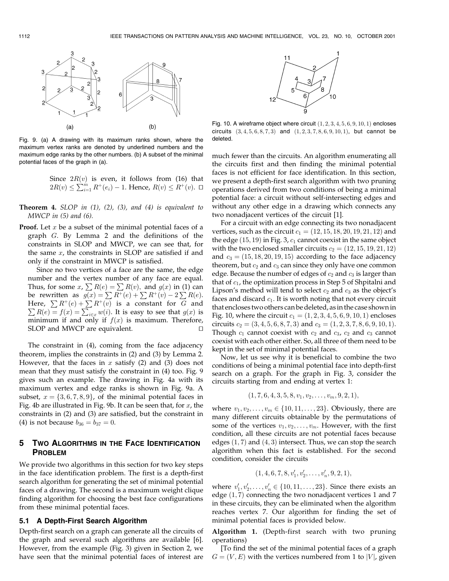

Fig. 9. (a) A drawing with its maximum ranks shown, where the maximum vertex ranks are denoted by underlined numbers and the maximum edge ranks by the other numbers. (b) A subset of the minimal potential faces of the graph in (a).

Since  $2R(v)$  is even, it follows from (16) that  $2R(v) \le \sum_{i=1}^{m} R^+(e_i) - 1$ . Hence,  $R(v) \le R^+(v)$ .  $\Box$ 

**Theorem 4.** SLOP in  $(1)$ ,  $(2)$ ,  $(3)$ , and  $(4)$  is equivalent to MWCP in  $(5)$  and  $(6)$ .

**Proof.** Let  $x$  be a subset of the minimal potential faces of a graph G. By Lemma 2 and the definitions of the constraints in SLOP and MWCP, we can see that, for the same  $x$ , the constraints in SLOP are satisfied if and only if the constraint in MWCP is satisfied.

Since no two vertices of a face are the same, the edge number and the vertex number of any face are equal. Thus, for some  $x$ ,  $\sum R(e) = \sum R(v)$ , and  $g(x)$  in (1) can be rewritten as  $g(x) = \sum R^+(e) + \sum R^+(v) - 2 \sum R(e)$ . Here,  $\sum R^+(e) + \sum R^+(v)$  is a constant for G and  $\sum R(e) = f(x) = \sum_{i \in x} w(i)$ . It is easy to see that  $g(x)$  is minimum if and only if  $f(x)$  is maximum. Therefore, SLOP and MWCP are equivalent.

The constraint in (4), coming from the face adjacency theorem, implies the constraints in (2) and (3) by Lemma 2. However, that the faces in  $x$  satisfy (2) and (3) does not mean that they must satisfy the constraint in (4) too. Fig. 9 gives such an example. The drawing in Fig. 4a with its maximum vertex and edge ranks is shown in Fig. 9a. A subset,  $x = \{3, 6, 7, 8, 9\}$ , of the minimal potential faces in Fig. 4b are illustrated in Fig. 9b. It can be seen that, for  $x$ , the constraints in (2) and (3) are satisfied, but the constraint in (4) is not because  $b_{36} = b_{37} = 0$ .

# 5 TWO ALGORITHMS IN THE FACE IDENTIFICATION PROBLEM

We provide two algorithms in this section for two key steps in the face identification problem. The first is a depth-first search algorithm for generating the set of minimal potential faces of a drawing. The second is a maximum weight clique finding algorithm for choosing the best face configurations from these minimal potential faces.

#### 5.1 A Depth-First Search Algorithm

Depth-first search on a graph can generate all the circuits of the graph and several such algorithms are available [6]. However, from the example (Fig. 3) given in Section 2, we have seen that the minimal potential faces of interest are



Fig. 10. A wireframe object where circuit  $(1, 2, 3, 4, 5, 6, 9, 10, 1)$  encloses circuits  $(3, 4, 5, 6, 8, 7, 3)$  and  $(1, 2, 3, 7, 8, 6, 9, 10, 1)$ , but cannot be deleted.

much fewer than the circuits. An algorithm enumerating all the circuits first and then finding the minimal potential faces is not efficient for face identification. In this section, we present a depth-first search algorithm with two pruning operations derived from two conditions of being a minimal potential face: a circuit without self-intersecting edges and without any other edge in a drawing which connects any two nonadjacent vertices of the circuit [1].

For a circuit with an edge connecting its two nonadjacent vertices, such as the circuit  $c_1 = (12, 15, 18, 20, 19, 21, 12)$  and the edge  $(15, 19)$  in Fig. 3,  $c_1$  cannot coexist in the same object with the two enclosed smaller circuits  $c_2 = (12, 15, 19, 21, 12)$ and  $c_3 = (15, 18, 20, 19, 15)$  according to the face adjacency theorem, but  $c_2$  and  $c_3$  can since they only have one common edge. Because the number of edges of  $c_2$  and  $c_3$  is larger than that of  $c_1$ , the optimization process in Step 5 of Shpitalni and Lipson's method will tend to select  $c_2$  and  $c_3$  as the object's faces and discard  $c_1$ . It is worth noting that not every circuit that encloses two others can be deleted, asin the case shownin Fig. 10, where the circuit  $c_1 = (1, 2, 3, 4, 5, 6, 9, 10, 1)$  encloses circuits  $c_2 = (3, 4, 5, 6, 8, 7, 3)$  and  $c_3 = (1, 2, 3, 7, 8, 6, 9, 10, 1).$ Though  $c_1$  cannot coexist with  $c_2$  and  $c_3$ ,  $c_2$  and  $c_3$  cannot coexist with each other either. So, all three of them need to be kept in the set of minimal potential faces.

Now, let us see why it is beneficial to combine the two conditions of being a minimal potential face into depth-first search on a graph. For the graph in Fig. 3, consider the circuits starting from and ending at vertex 1:

$$
(1, 7, 6, 4, 3, 5, 8, v_1, v_2, \ldots, v_m, 9, 2, 1),
$$

where  $v_1, v_2, \ldots, v_m \in \{10, 11, \ldots, 23\}$ . Obviously, there are many different circuits obtainable by the permutations of some of the vertices  $v_1, v_2, \ldots, v_m$ . However, with the first condition, all these circuits are not potential faces because edges  $(1, 7)$  and  $(4, 3)$  intersect. Thus, we can stop the search algorithm when this fact is established. For the second condition, consider the circuits

$$
(1,4,6,7,8,v'_1,v'_2,\ldots,v'_n,9,2,1),
$$

where  $v'_1, v'_2, \ldots, v'_n \in \{10, 11, \ldots, 23\}$ . Since there exists an edge  $(1, 7)$  connecting the two nonadjacent vertices 1 and 7 in these circuits, they can be eliminated when the algorithm reaches vertex 7. Our algorithm for finding the set of minimal potential faces is provided below.

Algorithm 1. (Depth-first search with two pruning operations)

[To find the set of the minimal potential faces of a graph  $G = (V, E)$  with the vertices numbered from 1 to |V|, given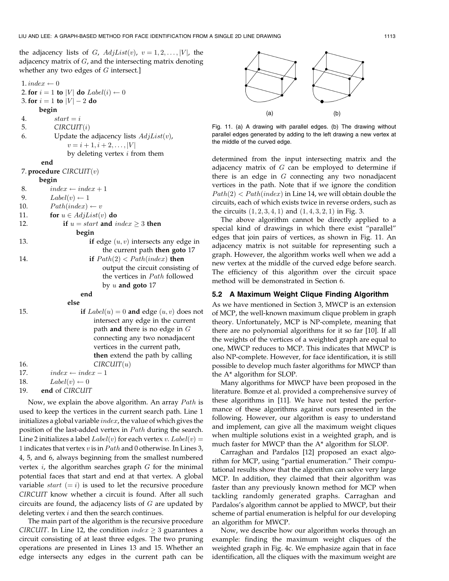the adjacency lists of G,  $AdjList(v)$ ,  $v = 1, 2, \ldots, |V|$ , the adjacency matrix of  $G$ , and the intersecting matrix denoting whether any two edges of  $G$  intersect.]

```
1. index \leftarrow 02. for i = 1 to |V| do Label(i) \leftarrow 03. for i = 1 to |V| - 2 do
     begin
4. start = i5. CIRCUIT(i)6. Update the adjacency lists AdjList(v),
              v = i + 1, i + 2, \ldots, |V|by deleting vertex i from them
      end
7. procedure CIRCUIT(v)begin
8. index \leftarrow index + 19. Label(v) \leftarrow 110. Path/index) \leftarrow v11. for u \in AdjList(v) do
12. if u = start and index \geq 3 then
                begin
13. if edge (u, v) intersects any edge in
                        the current path then goto 17
14. if Path(2) < Path/index) then
                        output the circuit consisting of
                        the vertices in Path followed
                        by u and goto 17end
              else
15. if Label(u) = 0 and edge (u, v) does not
                     intersect any edge in the current
                     path and there is no edge in Gconnecting any two nonadjacent
                     vertices in the current path,
                      then extend the path by calling
16. CIRCUIT(u)17. index \leftarrow index -118. Label(v) \leftarrow 0
```
19. end of CIRCUIT

Now, we explain the above algorithm. An array  $Path$  is used to keep the vertices in the current search path. Line 1 initializes a global variable  $index$ , the value of which gives the position of the last-added vertex in  $Path$  during the search. Line 2 initializes a label  $Label(v)$  for each vertex v.  $Label(v)$  = 1 indicates that vertex  $v$  is in  $Path$  and 0 otherwise. In Lines 3, 4, 5, and 6, always beginning from the smallest numbered vertex  $i$ , the algorithm searches graph  $G$  for the minimal potential faces that start and end at that vertex. A global variable *start*  $(= i)$  is used to let the recursive procedure CIRCUIT know whether a circuit is found. After all such circuits are found, the adjacency lists of  $G$  are updated by deleting vertex  $i$  and then the search continues.

The main part of the algorithm is the recursive procedure CIRCUIT. In Line 12, the condition  $index \geq 3$  guarantees a circuit consisting of at least three edges. The two pruning operations are presented in Lines 13 and 15. Whether an edge intersects any edges in the current path can be



Fig. 11. (a) A drawing with parallel edges. (b) The drawing without parallel edges generated by adding to the left drawing a new vertex at the middle of the curved edge.

determined from the input intersecting matrix and the adjacency matrix of  $G$  can be employed to determine if there is an edge in  $G$  connecting any two nonadjacent vertices in the path. Note that if we ignore the condition  $Path(2) < Path/index)$  in Line 14, we will obtain double the circuits, each of which exists twice in reverse orders, such as the circuits  $(1, 2, 3, 4, 1)$  and  $(1, 4, 3, 2, 1)$  in Fig. 3.

The above algorithm cannot be directly applied to a special kind of drawings in which there exist "parallel" edges that join pairs of vertices, as shown in Fig. 11. An adjacency matrix is not suitable for representing such a graph. However, the algorithm works well when we add a new vertex at the middle of the curved edge before search. The efficiency of this algorithm over the circuit space method will be demonstrated in Section 6.

## 5.2 A Maximum Weight Clique Finding Algorithm

As we have mentioned in Section 3, MWCP is an extension of MCP, the well-known maximum clique problem in graph theory. Unfortunately, MCP is NP-complete, meaning that there are no polynomial algorithms for it so far [10]. If all the weights of the vertices of a weighted graph are equal to one, MWCP reduces to MCP. This indicates that MWCP is also NP-complete. However, for face identification, it is still possible to develop much faster algorithms for MWCP than the A\* algorithm for SLOP.

Many algorithms for MWCP have been proposed in the literature. Bomze et al. provided a comprehensive survey of these algorithms in [11]. We have not tested the performance of these algorithms against ours presented in the following. However, our algorithm is easy to understand and implement, can give all the maximum weight cliques when multiple solutions exist in a weighted graph, and is much faster for MWCP than the A\* algorithm for SLOP.

Carraghan and Pardalos [12] proposed an exact algorithm for MCP, using "partial enumeration." Their computational results show that the algorithm can solve very large MCP. In addition, they claimed that their algorithm was faster than any previously known method for MCP when tackling randomly generated graphs. Carraghan and Pardalos's algorithm cannot be applied to MWCP, but their scheme of partial enumeration is helpful for our developing an algorithm for MWCP.

Now, we describe how our algorithm works through an example: finding the maximum weight cliques of the weighted graph in Fig. 4c. We emphasize again that in face identification, all the cliques with the maximum weight are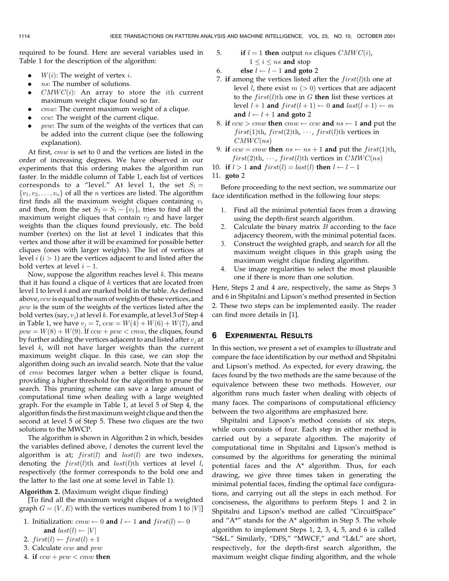required to be found. Here are several variables used in Table 1 for the description of the algorithm:

- $W(i)$ : The weight of vertex *i*.
- ns: The number of solutions.
- $CMWC(i)$ : An array to store the *i*th current maximum weight clique found so far.
- . cmw: The current maximum weight of a clique.
- ccw: The weight of the current clique.
- pvw: The sum of the weights of the vertices that can be added into the current clique (see the following explanation).

At first, cmw is set to 0 and the vertices are listed in the order of increasing degrees. We have observed in our experiments that this ordering makes the algorithm run faster. In the middle column of Table 1, each list of vertices corresponds to a "level." At level 1, the set  $S_1 =$  $\{v_1, v_2, \ldots, v_n\}$  of all the *n* vertices are listed. The algorithm first finds all the maximum weight cliques containing  $v_1$ and then, from the set  $S_2 = S_1 - \{v_1\}$ , tries to find all the maximum weight cliques that contain  $v_2$  and have larger weights than the cliques found previously, etc. The bold number (vertex) on the list at level 1 indicates that this vertex and those after it will be examined for possible better cliques (ones with larger weights). The list of vertices at level  $i$  ( $i$  > 1) are the vertices adjacent to and listed after the bold vertex at level  $i - 1$ .

Now, suppose the algorithm reaches level  $k$ . This means that it has found a clique of  $k$  vertices that are located from level 1 to level  $k$  and are marked bold in the table. As defined above,  $ccw$  is equal to the sum of weights of these vertices, and pvw is the sum of the weights of the vertices listed after the bold vertex (say,  $v_j$ ) at level k. For example, at level 3 of Step 4 in Table 1, we have  $v_i = 7$ ,  $ccw = W(4) + W(6) + W(7)$ , and  $pvw = W(8) + W(9)$ . If  $ccw + pw < cmw$ , the cliques, found by further adding the vertices adjacent to and listed after  $v_i$  at level  $k$ , will not have larger weights than the current maximum weight clique. In this case, we can stop the algorithm doing such an invalid search. Note that the value of *cmw* becomes larger when a better clique is found, providing a higher threshold for the algorithm to prune the search. This pruning scheme can save a large amount of computational time when dealing with a large weighted graph. For the example in Table 1, at level 5 of Step 4, the algorithm finds the first maximum weight clique and then the second at level 5 of Step 5. These two cliques are the two solutions to the MWCP.

The algorithm is shown in Algorithm 2 in which, besides the variables defined above,  $l$  denotes the current level the algorithm is at;  $first(l)$  and  $last(l)$  are two indexes, denoting the  $first(l)$ th and  $last(l)$ th vertices at level l, respectively (the former corresponds to the bold one and the latter to the last one at some level in Table 1).

### Algorithm 2. (Maximum weight clique finding)

[To find all the maximum weight cliques of a weighted graph  $G = (V, E)$  with the vertices numbered from 1 to  $|V|$ ]

- 1. Initialization:  $cmw \leftarrow 0$  and  $l \leftarrow 1$  and  $first(l) \leftarrow 0$ and  $last(l) \leftarrow |V|$
- 2.  $first(l) \leftarrow first(l) + 1$
- 3. Calculate ccw and pvw
- 4. if  $ccw + pw \lt cmw$  then

5. If 
$$
l = 1
$$
 then output *ns* cliques *CMWC(i)*,  
 $1 \leq i \leq ns$  and stop

6. else 
$$
l \leftarrow l - 1
$$
 and goto 2

- 7. if among the vertices listed after the  $first(l)$ th one at level *l*, there exist  $m$  ( $>$  0) vertices that are adjacent to the  $first(l)$ th one in G then list these vertices at level  $l + 1$  and  $first(l + 1) \leftarrow 0$  and  $last(l + 1) \leftarrow m$ and  $l \leftarrow l + 1$  and goto 2
- 8. if  $ccw > cmw$  then  $cmw \leftarrow ccw$  and  $ns \leftarrow 1$  and put the  $first(1)$ th,  $first(2)$ th,  $\cdots$ ,  $first(l)$ th vertices in  $CMWC(ns)$
- 9. if  $ccw = cmw$  then  $ns \leftarrow ns + 1$  and put the  $first(1)th$ ,  $first(2)$ th,  $\cdots$ ,  $first(l)$ th vertices in  $CMWC(ns)$
- 10. if  $l > 1$  and  $first(l) = last(l)$  then  $l \leftarrow l 1$

11. goto 2

Before proceeding to the next section, we summarize our face identification method in the following four steps:

- 1. Find all the minimal potential faces from a drawing using the depth-first search algorithm.
- 2. Calculate the binary matrix  $B$  according to the face adjacency theorem, with the minimal potential faces.
- 3. Construct the weighted graph, and search for all the maximum weight cliques in this graph using the maximum weight clique finding algorithm.
- 4. Use image regularities to select the most plausible one if there is more than one solution.

Here, Steps 2 and 4 are, respectively, the same as Steps 3 and 6 in Shpitalni and Lipson's method presented in Section 2. These two steps can be implemented easily. The reader can find more details in [1].

## 6 EXPERIMENTAL RESULTS

In this section, we present a set of examples to illustrate and compare the face identification by our method and Shpitalni and Lipson's method. As expected, for every drawing, the faces found by the two methods are the same because of the equivalence between these two methods. However, our algorithm runs much faster when dealing with objects of many faces. The comparisons of computational efficiency between the two algorithms are emphasized here.

Shpitalni and Lipson's method consists of six steps, while ours consists of four. Each step in either method is carried out by a separate algorithm. The majority of computational time in Shpitalni and Lipson's method is consumed by the algorithms for generating the minimal potential faces and the A\* algorithm. Thus, for each drawing, we give three times taken in generating the minimal potential faces, finding the optimal face configurations, and carrying out all the steps in each method. For conciseness, the algorithms to perform Steps 1 and 2 in Shpitalni and Lipson's method are called "CircuitSpace" and " $A^*$ " stands for the  $A^*$  algorithm in Step 5. The whole algorithm to implement Steps 1, 2, 3, 4, 5, and 6 is called ªS&L.º Similarly, ªDFS,º ªMWCF,º and ªL&Lº are short, respectively, for the depth-first search algorithm, the maximum weight clique finding algorithm, and the whole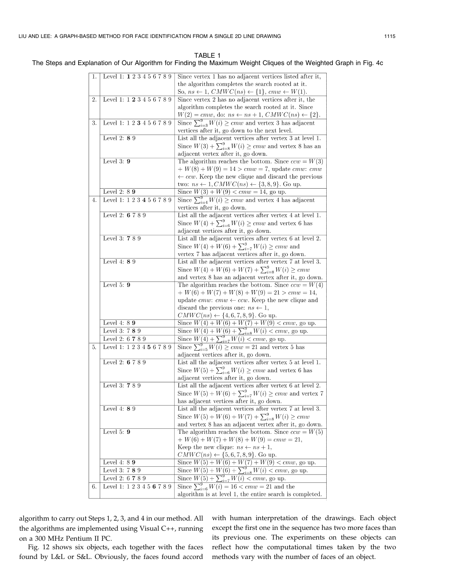TABLE 1 The Steps and Explanation of Our Algorithm for Finding the Maximum Weight Cliques of the Weighted Graph in Fig. 4c

| 1. | Level 1: 1 2 3 4 5 6 7 8 9 | Since vertex 1 has no adjacent vertices listed after it,                                                      |
|----|----------------------------|---------------------------------------------------------------------------------------------------------------|
|    |                            | the algorithm completes the search rooted at it.                                                              |
|    |                            | So, $ns \leftarrow 1$ , $CMWC(ns) \leftarrow \{1\}$ , $cmw \leftarrow W(1)$ .                                 |
| 2. | Level 1: 1 2 3 4 5 6 7 8 9 | Since vertex 2 has no adjacent vertices after it, the                                                         |
|    |                            | algorithm completes the search rooted at it. Since                                                            |
|    |                            | $W(2) = cmw$ , do: $ns \leftarrow ns + 1$ , $CMWC(ns) \leftarrow \{2\}$ .                                     |
| 3. | Level 1: 1 2 3 4 5 6 7 8 9 | Since $\sum_{i=3}^{9} W(i) \geq cmw$ and vertex 3 has adjacent                                                |
|    |                            |                                                                                                               |
|    |                            | vertices after it, go down to the next level.                                                                 |
|    | Level 2: $89$              | List all the adjacent vertices after vertex 3 at level 1.                                                     |
|    |                            | Since $W(3) + \sum_{i=8}^{9} W(i) \geq cmw$ and vertex 8 has an                                               |
|    |                            | adjacent vertex after it, go down.                                                                            |
|    | Level $3:9$                | The algorithm reaches the bottom. Since $ccw = W(3)$                                                          |
|    |                            | $+ W(8) + W(9) = 14 > cmw = 7$ , update <i>cmw</i> : <i>cmw</i>                                               |
|    |                            | $\leftarrow ccw.$ Keep the new clique and discard the previous                                                |
|    |                            | two: $ns \leftarrow 1, CMWC(ns) \leftarrow \{3, 8, 9\}.$ Go up.                                               |
|    | Level 2: $89$              | Since $W(3) + W(9) < cmw = 14$ , go up.                                                                       |
| 4. | Level 1: 1 2 3 4 5 6 7 8 9 | Since $\sum_{i=4}^{9} W(i) \geq cmw$ and vertex 4 has adjacent                                                |
|    |                            | vertices after it, go down.                                                                                   |
|    | Level 2: 6 7 8 9           | List all the adjacent vertices after vertex 4 at level 1.                                                     |
|    |                            | Since $W(4) + \sum_{i=6}^{9} W(i) \geq cmw$ and vertex 6 has                                                  |
|    |                            | adjacent vertices after it, go down.                                                                          |
|    | Level 3: 7 8 9             | List all the adjacent vertices after vertex 6 at level 2.                                                     |
|    |                            | Since $W(4) + W(6) + \sum_{i=7}^{9} W(i) \geq cmw$ and                                                        |
|    |                            | vertex 7 has adjacent vertices after it, go down.                                                             |
|    | Level 4: 8 9               | List all the adjacent vertices after vertex 7 at level 3.                                                     |
|    |                            | Since $W(4) + W(6) + W(7) + \sum_{i=8}^{9} W(i) \geq cmw$                                                     |
|    |                            | and vertex 8 has an adjacent vertex after it, go down.                                                        |
|    | Level 5: $9$               | The algorithm reaches the bottom. Since $ccw = W(4)$                                                          |
|    |                            | + $W(6)$ + $W(7)$ + $W(8)$ + $W(9)$ = 21 > $cmw = 14$ ,                                                       |
|    |                            |                                                                                                               |
|    |                            | update cmw: cmw $\leftarrow$ ccw. Keep the new clique and<br>discard the previous one: $ns \leftarrow 1$ ,    |
|    |                            |                                                                                                               |
|    | Level 4: $89$              | $CMWC(ns) \leftarrow \{4, 6, 7, 8, 9\}.$ Go up.                                                               |
|    |                            | Since $\overline{W(4) + W(6) + W(7) + W(9)} < cmw$ , go up.                                                   |
|    | Level 3: 7 8 9             | Since $W(4) + W(6) + \sum_{i=8}^{9} W(i) < cmw$ , go up.<br>Since $W(4) + \sum_{i=7}^{9} W(i) < cmw$ , go up. |
|    | Level 2: 6 7 8 9           |                                                                                                               |
| 5. | Level 1: 1 2 3 4 5 6 7 8 9 | Since $\sum_{i=5}^{9} W(i) \geq cmw = 21$ and vertex 5 has                                                    |
|    |                            | adjacent vertices after it, go down.                                                                          |
|    | Level 2: 6 7 8 9           | List all the adjacent vertices after vertex 5 at level 1.                                                     |
|    |                            | Since $W(5) + \sum_{i=6}^{9} W(i) \geq cmw$ and vertex 6 has                                                  |
|    |                            | adjacent vertices after it, go down.                                                                          |
|    | Level 3: 7 8 9             | List all the adjacent vertices after vertex 6 at level 2.                                                     |
|    |                            | Since $W(5) + W(6) + \sum_{i=7}^{9} W(i) \geq cmw$ and vertex 7                                               |
|    |                            | has adjacent vertices after it, go down.                                                                      |
|    | Level 4: 8 9               | List all the adjacent vertices after vertex 7 at level 3.                                                     |
|    |                            | Since $W(5) + W(6) + W(7) + \sum_{i=8}^{9} W(i) \geq cmw$                                                     |
|    |                            | and vertex 8 has an adjacent vertex after it, go down.                                                        |
|    | Level 5: $9$               | The algorithm reaches the bottom. Since $ccw = W(5)$                                                          |
|    |                            | + $W(6)$ + $W(7)$ + $W(8)$ + $W(9)$ = $cmw = 21$ ,                                                            |
|    |                            | Keep the new clique: $ns \leftarrow ns + 1$ ,                                                                 |
|    |                            | $CMWC(ns) \leftarrow \{5, 6, 7, 8, 9\}.$ Go up.                                                               |
|    | Level 4: $89$              | Since $W(5) + W(6) + W(7) + W(9) < cmw$ , go up.                                                              |
|    | Level 3: 7 8 9             | Since $W(5) + W(6) + \sum_{i=8}^{9} W(i) < cmw$ , go up.                                                      |
|    | Level 2: 6 7 8 9           | Since $W(5) + \sum_{i=7}^{9} W(i) < cmw$ , go up.                                                             |
| 6. | Level 1: 1 2 3 4 5 6 7 8 9 | Since $\sum_{i=6}^{9} W(i) = 16 < cmw = 21$ and the                                                           |
|    |                            | algorithm is at level 1, the entire search is completed.                                                      |
|    |                            |                                                                                                               |

algorithm to carry out Steps 1, 2, 3, and 4 in our method. All the algorithms are implemented using Visual C++, running on a 300 MHz Pentium II PC.

Fig. 12 shows six objects, each together with the faces found by L&L or S&L. Obviously, the faces found accord with human interpretation of the drawings. Each object except the first one in the sequence has two more faces than its previous one. The experiments on these objects can reflect how the computational times taken by the two methods vary with the number of faces of an object.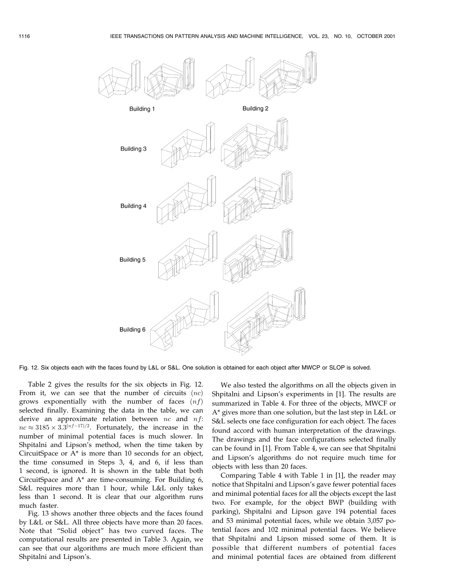

Fig. 12. Six objects each with the faces found by L&L or S&L. One solution is obtained for each object after MWCP or SLOP is solved.

Table 2 gives the results for the six objects in Fig. 12. From it, we can see that the number of circuits  $(nc)$ grows exponentially with the number of faces  $(nf)$ selected finally. Examining the data in the table, we can derive an approximate relation between  $nc$  and  $nf$ :  $nc \approx 3185 \times 3.3^{(nf-17)/2}$ . Fortunately, the increase in the number of minimal potential faces is much slower. In Shpitalni and Lipson's method, when the time taken by CircuitSpace or A\* is more than 10 seconds for an object, the time consumed in Steps 3, 4, and 6, if less than 1 second, is ignored. It is shown in the table that both CircuitSpace and A\* are time-consuming. For Building 6, S&L requires more than 1 hour, while L&L only takes less than 1 second. It is clear that our algorithm runs much faster.

Fig. 13 shows another three objects and the faces found by L&L or S&L. All three objects have more than 20 faces. Note that "Solid object" has two curved faces. The computational results are presented in Table 3. Again, we can see that our algorithms are much more efficient than Shpitalni and Lipson's.

We also tested the algorithms on all the objects given in Shpitalni and Lipson's experiments in [1]. The results are summarized in Table 4. For three of the objects, MWCF or A\* gives more than one solution, but the last step in L&L or S&L selects one face configuration for each object. The faces found accord with human interpretation of the drawings. The drawings and the face configurations selected finally can be found in [1]. From Table 4, we can see that Shpitalni and Lipson's algorithms do not require much time for objects with less than 20 faces.

Comparing Table 4 with Table 1 in [1], the reader may notice that Shpitalni and Lipson's gave fewer potential faces and minimal potential faces for all the objects except the last two. For example, for the object BWP (building with parking), Shpitalni and Lipson gave 194 potential faces and 53 minimal potential faces, while we obtain 3,057 potential faces and 102 minimal potential faces. We believe that Shpitalni and Lipson missed some of them. It is possible that different numbers of potential faces and minimal potential faces are obtained from different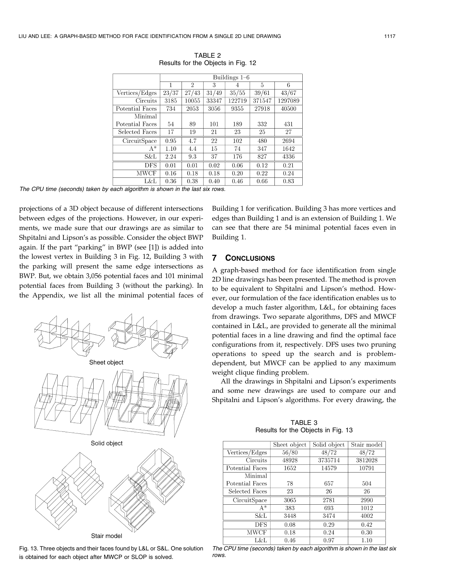|                 | Buildings $1-6$ |                |       |        |        |         |
|-----------------|-----------------|----------------|-------|--------|--------|---------|
|                 | 1               | $\overline{2}$ | 3     | 4      | 5      | 6       |
| Vertices/Edges  | 23/37           | 27/43          | 31/49 | 35/55  | 39/61  | 43/67   |
| Circuits        | 3185            | 10055          | 33347 | 122719 | 371547 | 1297089 |
| Potential Faces | 734             | 2053           | 3056  | 9355   | 27918  | 40500   |
| Minimal         |                 |                |       |        |        |         |
| Potential Faces | 54              | 89             | 101   | 189    | 332    | 431     |
| Selected Faces  | 17              | 19             | 21    | 23     | 25     | 27      |
| CircuitSpace    | 0.95            | 4.7            | 22    | 102    | 480    | 2694    |
| $A^*$           | 1.10            | 4.4            | 15    | 74     | 347    | 1642    |
| S&L             | 2.24            | 9.3            | 37    | 176    | 827    | 4336    |
| <b>DFS</b>      | 0.01            | 0.01           | 0.02  | 0.06   | 0.12   | 0.21    |
| <b>MWCF</b>     | 0.16            | 0.18           | 0.18  | 0.20   | 0.22   | 0.24    |
| L&L             | 0.36            | 0.38           | 0.40  | 0.46   | 0.66   | 0.83    |

TABLE 2 Results for the Objects in Fig. 12

The CPU time (seconds) taken by each algorithm is shown in the last six rows.

projections of a 3D object because of different intersections between edges of the projections. However, in our experiments, we made sure that our drawings are as similar to Shpitalni and Lipson's as possible. Consider the object BWP again. If the part "parking" in BWP (see [1]) is added into the lowest vertex in Building 3 in Fig. 12, Building 3 with the parking will present the same edge intersections as BWP. But, we obtain 3,056 potential faces and 101 minimal potential faces from Building 3 (without the parking). In the Appendix, we list all the minimal potential faces of



Fig. 13. Three objects and their faces found by L&L or S&L. One solution is obtained for each object after MWCP or SLOP is solved.

Building 1 for verification. Building 3 has more vertices and edges than Building 1 and is an extension of Building 1. We can see that there are 54 minimal potential faces even in Building 1.

## 7 CONCLUSIONS

A graph-based method for face identification from single 2D line drawings has been presented. The method is proven to be equivalent to Shpitalni and Lipson's method. However, our formulation of the face identification enables us to develop a much faster algorithm, L&L, for obtaining faces from drawings. Two separate algorithms, DFS and MWCF contained in L&L, are provided to generate all the minimal potential faces in a line drawing and find the optimal face configurations from it, respectively. DFS uses two pruning operations to speed up the search and is problemdependent, but MWCF can be applied to any maximum weight clique finding problem.

All the drawings in Shpitalni and Lipson's experiments and some new drawings are used to compare our and Shpitalni and Lipson's algorithms. For every drawing, the

|                 | Sheet object | Solid object | Stair model |
|-----------------|--------------|--------------|-------------|
| Vertices/Edges  | 56/80        | 48/72        | 48/72       |
| <b>Circuits</b> | 48928        | 3735714      | 3812028     |
| Potential Faces | 1652         | 14579        | 10791       |
| Minimal         |              |              |             |
| Potential Faces | 78           | 657          | 504         |
| Selected Faces  | 23           | 26           | 26          |
| CircuitSpace    | 3065         | 2781         | 2990        |
| $A^*$           | 383          | 693          | 1012        |
| S&L             | 3448         | 3474         | 4002        |
| <b>DFS</b>      | 0.08         | 0.29         | 0.42        |
| MWCF            | 0.18         | 0.24         | 0.30        |
| L&L             | 0.46         | 0.97         | 1.10        |

TABLE 3 Results for the Objects in Fig. 13

The CPU time (seconds) taken by each algorithm is shown in the last six rows.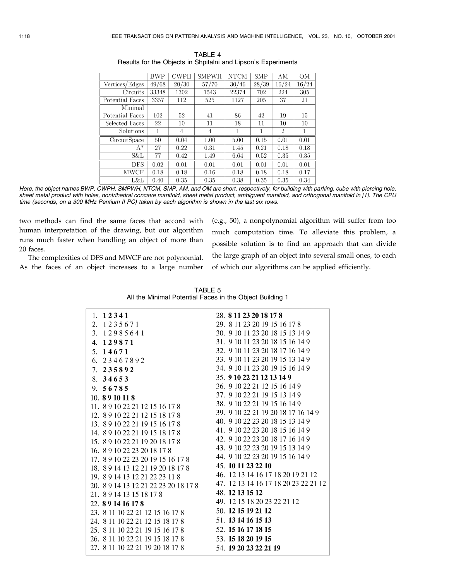|                 | <b>BWP</b> | <b>CWPH</b> | <b>SMPWH</b> | <b>NTCM</b> | <b>SMP</b> | AМ             | OМ    |
|-----------------|------------|-------------|--------------|-------------|------------|----------------|-------|
| Vertices/Edges  | 49/68      | 20/30       | 57/70        | 30/46       | 28/39      | 16/24          | 16/24 |
| Circuits        | 33348      | 1302        | 1543         | 22374       | 702        | 224            | 305   |
| Potential Faces | 3357       | 112         | 525          | 1127        | 205        | 37             | 21    |
| Minimal         |            |             |              |             |            |                |       |
| Potential Faces | 102        | 52          | 41           | 86          | 42         | 19             | 15    |
| Selected Faces  | 22         | 10          | 11           | 18          | 11         | 10             | 10    |
| Solutions       | 1          | 4           | 4            | 1           | 1          | $\overline{2}$ | 1     |
| CircuitSpace    | 50         | 0.04        | 1.00         | 5.00        | 0.15       | 0.01           | 0.01  |
| $A^*$           | 27         | 0.22        | 0.31         | 1.45        | 0.21       | 0.18           | 0.18  |
| S&L             | 77         | 0.42        | 1.49         | 6.64        | 0.52       | 0.35           | 0.35  |
| <b>DFS</b>      | 0.02       | 0.01        | 0.01         | 0.01        | 0.01       | 0.01           | 0.01  |
| MWCF            | 0.18       | 0.18        | 0.16         | 0.18        | 0.18       | 0.18           | 0.17  |
| L&L             | 0.40       | 0.35        | 0.35         | 0.38        | 0.35       | 0.35           | 0.34  |

TABLE 4 Results for the Objects in Shpitalni and Lipson's Experiments

Here, the object names BWP, CWPH, SMPWH, NTCM, SMP, AM, and OM are short, respectively, for building with parking, cube with piercing hole, sheet metal product with holes, nontrihedral concave manifold, sheet metal product, ambiguent manifold, and orthogonal manifold in [1]. The CPU time (seconds, on a 300 MHz Pentium II PC) taken by each algorithm is shown in the last six rows.

two methods can find the same faces that accord with human interpretation of the drawing, but our algorithm runs much faster when handling an object of more than 20 faces.

(e.g., 50), a nonpolynomial algorithm will suffer from too much computation time. To alleviate this problem, a possible solution is to find an approach that can divide the large graph of an object into several small ones, to each of which our algorithms can be applied efficiently.

The complexities of DFS and MWCF are not polynomial. As the faces of an object increases to a large number

| 1. $12341$                           | 28. 8 11 23 20 18 17 8               |
|--------------------------------------|--------------------------------------|
| 2. 1235671                           | 29. 8 11 23 20 19 15 16 17 8         |
| 3. 12985641                          | 30. 9 10 11 23 20 18 15 13 14 9      |
| 4.129871                             | 31. 9 10 11 23 20 18 15 16 14 9      |
| 5. 14671                             | 32, 9 10 11 23 20 18 17 16 14 9      |
| 6. 23467892                          | 33. 9 10 11 23 20 19 15 13 14 9      |
| 7. 235892                            | 34. 9 10 11 23 20 19 15 16 14 9      |
| 8. $34653$                           | 35. 9 10 22 21 12 13 14 9            |
| 9.56785                              | 36. 9 10 22 21 12 15 16 14 9         |
| 10.8910118                           | 37. 9 10 22 21 19 15 13 14 9         |
| 11. 8 9 10 22 21 12 15 16 17 8       | 38. 9 10 22 21 19 15 16 14 9         |
| 12. 8 9 10 22 21 12 15 18 17 8       | 39. 9 10 22 21 19 20 18 17 16 14 9   |
| 13. 8 9 10 22 21 19 15 16 17 8       | 40. 9 10 22 23 20 18 15 13 14 9      |
| 14. 8 9 10 22 21 19 15 18 17 8       | 41. 9 10 22 23 20 18 15 16 14 9      |
| 15. 8 9 10 22 21 19 20 18 17 8       | 42, 9 10 22 23 20 18 17 16 14 9      |
| 16. 8 9 10 22 23 20 18 17 8          | 43. 9 10 22 23 20 19 15 13 14 9      |
| 17. 8 9 10 22 23 20 19 15 16 17 8    | 44. 9 10 22 23 20 19 15 16 14 9      |
| 18. 8 9 14 13 12 21 19 20 18 17 8    | 45. 10 11 23 22 10                   |
| 19. 8 9 14 13 12 21 22 23 11 8       | 46. 12 13 14 16 17 18 20 19 21 12    |
| 20. 8 9 14 13 12 21 22 23 20 18 17 8 | 47. 12 13 14 16 17 18 20 23 22 21 12 |
| 21. 89 14 13 15 18 17 8              | 48. 12 13 15 12                      |
| 22. 891416178                        | 49. 12 15 18 20 23 22 21 12          |
| 23. 8 11 10 22 21 12 15 16 17 8      | 50. 12 15 19 21 12                   |
| 24. 8 11 10 22 21 12 15 18 17 8      | 51. 13 14 16 15 13                   |
| 25. 8 11 10 22 21 19 15 16 17 8      | 52. 15 16 17 18 15                   |
| 26. 8 11 10 22 21 19 15 18 17 8      | 53. 15 18 20 19 15                   |
| 27. 8 11 10 22 21 19 20 18 17 8      | 54. 19 20 23 22 21 19                |
|                                      |                                      |

TABLE 5 All the Minimal Potential Faces in the Object Building 1